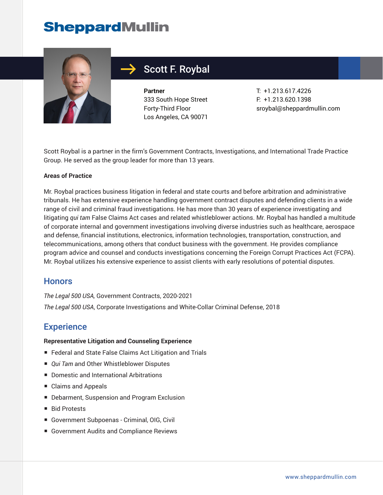# **SheppardMullin**



## Scott F. Roybal

**Partner** 333 South Hope Street Forty-Third Floor Los Angeles, CA 90071

T: +1.213.617.4226 F: +1.213.620.1398 sroybal@sheppardmullin.com

Scott Roybal is a partner in the firm's Government Contracts, Investigations, and International Trade Practice Group. He served as the group leader for more than 13 years.

#### **Areas of Practice**

Mr. Roybal practices business litigation in federal and state courts and before arbitration and administrative tribunals. He has extensive experience handling government contract disputes and defending clients in a wide range of civil and criminal fraud investigations. He has more than 30 years of experience investigating and litigating *qui tam* False Claims Act cases and related whistleblower actions. Mr. Roybal has handled a multitude of corporate internal and government investigations involving diverse industries such as healthcare, aerospace and defense, financial institutions, electronics, information technologies, transportation, construction, and telecommunications, among others that conduct business with the government. He provides compliance program advice and counsel and conducts investigations concerning the Foreign Corrupt Practices Act (FCPA). Mr. Roybal utilizes his extensive experience to assist clients with early resolutions of potential disputes.

### **Honors**

*The Legal 500 USA,* Government Contracts, 2020-2021 *The Legal 500 USA*, Corporate Investigations and White-Collar Criminal Defense, 2018

## **Experience**

#### **Representative Litigation and Counseling Experience**

- Federal and State False Claims Act Litigation and Trials
- *Qui Tam* and Other Whistleblower Disputes
- Domestic and International Arbitrations
- Claims and Appeals
- Debarment, Suspension and Program Exclusion
- Bid Protests
- Government Subpoenas Criminal, OIG, Civil
- Government Audits and Compliance Reviews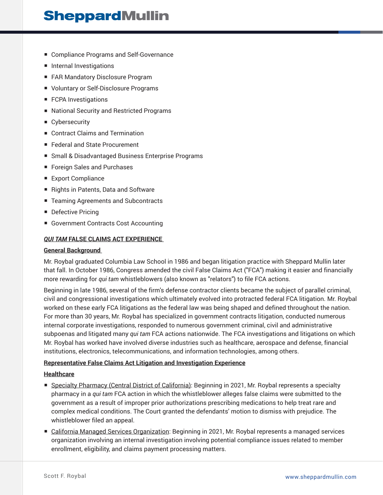## **SheppardMullin**

- Compliance Programs and Self-Governance
- Internal Investigations
- FAR Mandatory Disclosure Program
- Voluntary or Self-Disclosure Programs
- FCPA Investigations
- National Security and Restricted Programs
- Cybersecurity
- Contract Claims and Termination
- Federal and State Procurement
- Small & Disadvantaged Business Enterprise Programs
- Foreign Sales and Purchases
- Export Compliance
- Rights in Patents, Data and Software
- Teaming Agreements and Subcontracts
- Defective Pricing
- Government Contracts Cost Accounting

#### *QUI TAM* **FALSE CLAIMS ACT EXPERIENCE**

#### **General Background**

Mr. Roybal graduated Columbia Law School in 1986 and began litigation practice with Sheppard Mullin later that fall. In October 1986, Congress amended the civil False Claims Act ("FCA") making it easier and financially more rewarding for *qui tam* whistleblowers (also known as "relators") to file FCA actions.

Beginning in late 1986, several of the firm's defense contractor clients became the subject of parallel criminal, civil and congressional investigations which ultimately evolved into protracted federal FCA litigation. Mr. Roybal worked on these early FCA litigations as the federal law was being shaped and defined throughout the nation. For more than 30 years, Mr. Roybal has specialized in government contracts litigation, conducted numerous internal corporate investigations, responded to numerous government criminal, civil and administrative subpoenas and litigated many *qui tam* FCA actions nationwide. The FCA investigations and litigations on which Mr. Roybal has worked have involved diverse industries such as healthcare, aerospace and defense, financial institutions, electronics, telecommunications, and information technologies, among others.

#### **Representative False Claims Act Litigation and Investigation Experience**

#### **Healthcare**

- Specialty Pharmacy (Central District of California): Beginning in 2021, Mr. Roybal represents a specialty pharmacy in a *qui tam* FCA action in which the whistleblower alleges false claims were submitted to the government as a result of improper prior authorizations prescribing medications to help treat rare and complex medical conditions. The Court granted the defendants' motion to dismiss with prejudice. The whistleblower filed an appeal.
- California Managed Services Organization: Beginning in 2021, Mr. Roybal represents a managed services organization involving an internal investigation involving potential compliance issues related to member enrollment, eligibility, and claims payment processing matters.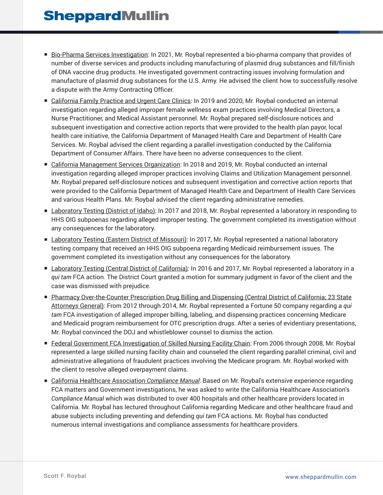- Bio-Pharma Services Investigation: In 2021, Mr. Roybal represented a bio-pharma company that provides of number of diverse services and products including manufacturing of plasmid drug substances and fill/finish of DNA vaccine drug products. He investigated government contracting issues involving formulation and manufacture of plasmid drug substances for the U.S. Army. He advised the client how to successfully resolve a dispute with the Army Contracting Officer.
- California Family Practice and Urgent Care Clinics: In 2019 and 2020, Mr. Roybal conducted an internal investigation regarding alleged improper female wellness exam practices involving Medical Directors, a Nurse Practitioner, and Medical Assistant personnel. Mr. Roybal prepared self-disclosure notices and subsequent investigation and corrective action reports that were provided to the health plan payor, local health care initiative, the California Department of Managed Health Care and Department of Health Care Services. Mr. Roybal advised the client regarding a parallel investigation conducted by the California Department of Consumer Affairs. There have been no adverse consequences to the client.
- California Management Services Organization: In 2018 and 2019, Mr. Roybal conducted an internal investigation regarding alleged improper practices involving Claims and Utilization Management personnel. Mr. Roybal prepared self-disclosure notices and subsequent investigation and corrective action reports that were provided to the California Department of Managed Health Care and Department of Health Care Services and various Health Plans. Mr. Roybal advised the client regarding administrative remedies.
- Laboratory Testing (District of Idaho): In 2017 and 2018, Mr. Roybal represented a laboratory in responding to HHS OIG subpoenas regarding alleged improper testing. The government completed its investigation without any consequences for the laboratory.
- Laboratory Testing (Eastern District of Missouri): In 2017, Mr. Roybal represented a national laboratory testing company that received an HHS OIG subpoena regarding Medicaid reimbursement issues. The government completed its investigation without any consequences for the laboratory.
- Laboratory Testing (Central District of California): In 2016 and 2017, Mr. Roybal represented a laboratory in a *qui tam* FCA action. The District Court granted a motion for summary judgment in favor of the client and the case was dismissed with prejudice.
- Pharmacy Over-the-Counter Prescription Drug Billing and Dispensing (Central District of California; 23 State Attorneys General): From 2012 through 2014, Mr. Roybal represented a Fortune 50 company regarding a *qui tam* FCA investigation of alleged improper billing, labeling, and dispensing practices concerning Medicare and Medicaid program reimbursement for OTC prescription drugs. After a series of evidentiary presentations, Mr. Roybal convinced the DOJ and whistleblower counsel to dismiss the action.
- Federal Government FCA Investigation of Skilled Nursing Facility Chain: From 2006 through 2008, Mr. Roybal represented a large skilled nursing facility chain and counseled the client regarding parallel criminal, civil and administrative allegations of fraudulent practices involving the Medicare program. Mr. Roybal worked with the client to resolve alleged overpayment claims.
- California Healthcare Association *Compliance Manual*: Based on Mr. Roybal's extensive experience regarding FCA matters and Government investigations, he was asked to write the California Healthcare Association's *Compliance Manual* which was distributed to over 400 hospitals and other healthcare providers located in California. Mr. Roybal has lectured throughout California regarding Medicare and other healthcare fraud and abuse subjects including preventing and defending *qui tam* FCA actions. Mr. Roybal has conducted numerous internal investigations and compliance assessments for healthcare providers.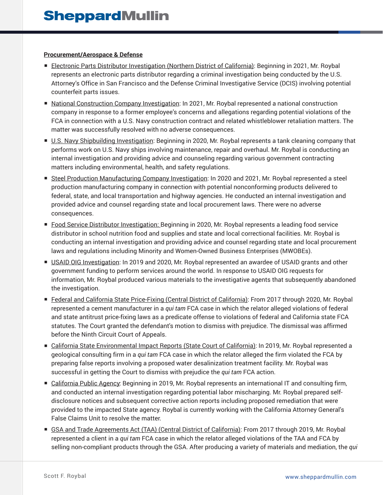#### **Procurement/Aerospace & Defense**

- Electronic Parts Distributor Investigation (Northern District of California): Beginning in 2021, Mr. Roybal represents an electronic parts distributor regarding a criminal investigation being conducted by the U.S. Attorney's Office in San Francisco and the Defense Criminal Investigative Service (DCIS) involving potential counterfeit parts issues.
- National Construction Company Investigation: In 2021, Mr. Roybal represented a national construction company in response to a former employee's concerns and allegations regarding potential violations of the FCA in connection with a U.S. Navy construction contract and related whistleblower retaliation matters. The matter was successfully resolved with no adverse consequences.
- U.S. Navy Shipbuilding Investigation: Beginning in 2020, Mr. Roybal represents a tank cleaning company that performs work on U.S. Navy ships involving maintenance, repair and overhaul. Mr. Roybal is conducting an internal investigation and providing advice and counseling regarding various government contracting matters including environmental, health, and safety regulations.
- Steel Production Manufacturing Company Investigation: In 2020 and 2021, Mr. Roybal represented a steel production manufacturing company in connection with potential nonconforming products delivered to federal, state, and local transportation and highway agencies. He conducted an internal investigation and provided advice and counsel regarding state and local procurement laws. There were no adverse consequences.
- Food Service Distributor Investigation: Beginning in 2020, Mr. Roybal represents a leading food service distributor in school nutrition food and supplies and state and local correctional facilities. Mr. Roybal is conducting an internal investigation and providing advice and counsel regarding state and local procurement laws and regulations including Minority and Women-Owned Business Enterprises (MWOBEs).
- USAID OIG Investigation: In 2019 and 2020, Mr. Roybal represented an awardee of USAID grants and other government funding to perform services around the world. In response to USAID OIG requests for information, Mr. Roybal produced various materials to the investigative agents that subsequently abandoned the investigation.
- Federal and California State Price-Fixing (Central District of California): From 2017 through 2020, Mr. Roybal represented a cement manufacturer in a *qui tam* FCA case in which the relator alleged violations of federal and state antitrust price-fixing laws as a predicate offense to violations of federal and California state FCA statutes. The Court granted the defendant's motion to dismiss with prejudice. The dismissal was affirmed before the Ninth Circuit Court of Appeals.
- California State Environmental Impact Reports (State Court of California): In 2019, Mr. Roybal represented a geological consulting firm in a *qui tam* FCA case in which the relator alleged the firm violated the FCA by preparing false reports involving a proposed water desalinization treatment facility. Mr. Roybal was successful in getting the Court to dismiss with prejudice the *qui tam* FCA action.
- California Public Agency: Beginning in 2019, Mr. Roybal represents an international IT and consulting firm, and conducted an internal investigation regarding potential labor mischarging. Mr. Roybal prepared selfdisclosure notices and subsequent corrective action reports including proposed remediation that were provided to the impacted State agency. Roybal is currently working with the California Attorney General's False Claims Unit to resolve the matter.
- GSA and Trade Agreements Act (TAA) (Central District of California): From 2017 through 2019, Mr. Roybal represented a client in a *qui tam* FCA case in which the relator alleged violations of the TAA and FCA by selling non-compliant products through the GSA. After producing a variety of materials and mediation, the *qui*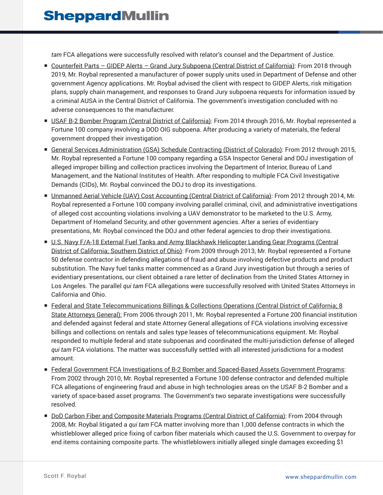*tam* FCA allegations were successfully resolved with relator's counsel and the Department of Justice.

- Counterfeit Parts GIDEP Alerts Grand Jury Subpoena (Central District of California): From 2018 through 2019, Mr. Roybal represented a manufacturer of power supply units used in Department of Defense and other government Agency applications. Mr. Roybal advised the client with respect to GIDEP Alerts, risk mitigation plans, supply chain management, and responses to Grand Jury subpoena requests for information issued by a criminal AUSA in the Central District of California. The government's investigation concluded with no adverse consequences to the manufacturer.
- USAF B-2 Bomber Program (Central District of California): From 2014 through 2016, Mr. Roybal represented a Fortune 100 company involving a DOD OIG subpoena. After producing a variety of materials, the federal government dropped their investigation.
- General Services Administration (GSA) Schedule Contracting (District of Colorado): From 2012 through 2015, Mr. Roybal represented a Fortune 100 company regarding a GSA Inspector General and DOJ investigation of alleged improper billing and collection practices involving the Department of Interior, Bureau of Land Management, and the National Institutes of Health. After responding to multiple FCA Civil Investigative Demands (CIDs), Mr. Roybal convinced the DOJ to drop its investigations.
- Unmanned Aerial Vehicle (UAV) Cost Accounting (Central District of California): From 2012 through 2014, Mr. Roybal represented a Fortune 100 company involving parallel criminal, civil, and administrative investigations of alleged cost accounting violations involving a UAV demonstrator to be marketed to the U.S. Army, Department of Homeland Security, and other government agencies. After a series of evidentiary presentations, Mr. Roybal convinced the DOJ and other federal agencies to drop their investigations.
- U.S. Navy F/A-18 External Fuel Tanks and Army Blackhawk Helicopter Landing Gear Programs (Central District of California; Southern District of Ohio): From 2009 through 2013, Mr. Roybal represented a Fortune 50 defense contractor in defending allegations of fraud and abuse involving defective products and product substitution. The Navy fuel tanks matter commenced as a Grand Jury investigation but through a series of evidentiary presentations, our client obtained a rare letter of declination from the United States Attorney in Los Angeles. The parallel *qui tam* FCA allegations were successfully resolved with United States Attorneys in California and Ohio.
- Federal and State Telecommunications Billings & Collections Operations (Central District of California; 8 State Attorneys General): From 2006 through 2011, Mr. Roybal represented a Fortune 200 financial institution and defended against federal and state Attorney General allegations of FCA violations involving excessive billings and collections on rentals and sales type leases of telecommunications equipment. Mr. Roybal responded to multiple federal and state subpoenas and coordinated the multi-jurisdiction defense of alleged *qui tam* FCA violations. The matter was successfully settled with all interested jurisdictions for a modest amount.
- Federal Government FCA Investigations of B-2 Bomber and Spaced-Based Assets Government Programs: From 2002 through 2010, Mr. Roybal represented a Fortune 100 defense contractor and defended multiple FCA allegations of engineering fraud and abuse in high technologies areas on the USAF B-2 Bomber and a variety of space-based asset programs. The Government's two separate investigations were successfully resolved.
- DoD Carbon Fiber and Composite Materials Programs (Central District of California): From 2004 through 2008, Mr. Roybal litigated a *qui tam* FCA matter involving more than 1,000 defense contracts in which the whistleblower alleged price fixing of carbon fiber materials which caused the U.S. Government to overpay for end items containing composite parts. The whistleblowers initially alleged single damages exceeding \$1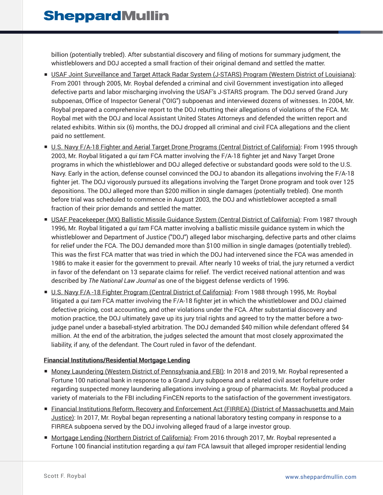billion (potentially trebled). After substantial discovery and filing of motions for summary judgment, the whistleblowers and DOJ accepted a small fraction of their original demand and settled the matter.

- USAF Joint Surveillance and Target Attack Radar System (J-STARS) Program (Western District of Louisiana): From 2001 through 2005, Mr. Roybal defended a criminal and civil Government investigation into alleged defective parts and labor mischarging involving the USAF's J-STARS program. The DOJ served Grand Jury subpoenas, Office of Inspector General ("OIG") subpoenas and interviewed dozens of witnesses. In 2004, Mr. Roybal prepared a comprehensive report to the DOJ rebutting their allegations of violations of the FCA. Mr. Roybal met with the DOJ and local Assistant United States Attorneys and defended the written report and related exhibits. Within six (6) months, the DOJ dropped all criminal and civil FCA allegations and the client paid no settlement.
- U.S. Navy F/A-18 Fighter and Aerial Target Drone Programs (Central District of California): From 1995 through 2003, Mr. Roybal litigated a *qui tam* FCA matter involving the F/A-18 fighter jet and Navy Target Drone programs in which the whistleblower and DOJ alleged defective or substandard goods were sold to the U.S. Navy. Early in the action, defense counsel convinced the DOJ to abandon its allegations involving the F/A-18 fighter jet. The DOJ vigorously pursued its allegations involving the Target Drone program and took over 125 depositions. The DOJ alleged more than \$200 million in single damages (potentially trebled). One month before trial was scheduled to commence in August 2003, the DOJ and whistleblower accepted a small fraction of their prior demands and settled the matter.
- USAF Peacekeeper (MX) Ballistic Missile Guidance System (Central District of California): From 1987 through 1996, Mr. Roybal litigated a *qui tam* FCA matter involving a ballistic missile guidance system in which the whistleblower and Department of Justice ("DOJ") alleged labor mischarging, defective parts and other claims for relief under the FCA. The DOJ demanded more than \$100 million in single damages (potentially trebled). This was the first FCA matter that was tried in which the DOJ had intervened since the FCA was amended in 1986 to make it easier for the government to prevail. After nearly 10 weeks of trial, the jury returned a verdict in favor of the defendant on 13 separate claims for relief. The verdict received national attention and was described by *The National Law Journal* as one of the biggest defense verdicts of 1996.
- U.S. Navy F/A -18 Fighter Program (Central District of California): From 1988 through 1995, Mr. Roybal litigated a *qui tam* FCA matter involving the F/A-18 fighter jet in which the whistleblower and DOJ claimed defective pricing, cost accounting, and other violations under the FCA. After substantial discovery and motion practice, the DOJ ultimately gave up its jury trial rights and agreed to try the matter before a twojudge panel under a baseball-styled arbitration. The DOJ demanded \$40 million while defendant offered \$4 million. At the end of the arbitration, the judges selected the amount that most closely approximated the liability, if any, of the defendant. The Court ruled in favor of the defendant.

#### **Financial Institutions/Residential Mortgage Lending**

- Money Laundering (Western District of Pennsylvania and FBI): In 2018 and 2019, Mr. Roybal represented a Fortune 100 national bank in response to a Grand Jury subpoena and a related civil asset forfeiture order regarding suspected money laundering allegations involving a group of pharmacists. Mr. Roybal produced a variety of materials to the FBI including FinCEN reports to the satisfaction of the government investigators.
- Financial Institutions Reform, Recovery and Enforcement Act (FIRREA) (District of Massachusetts and Main Justice): In 2017, Mr. Roybal began representing a national laboratory testing company in response to a FIRREA subpoena served by the DOJ involving alleged fraud of a large investor group.
- Mortgage Lending (Northern District of California): From 2016 through 2017, Mr. Roybal represented a Fortune 100 financial institution regarding a *qui tam* FCA lawsuit that alleged improper residential lending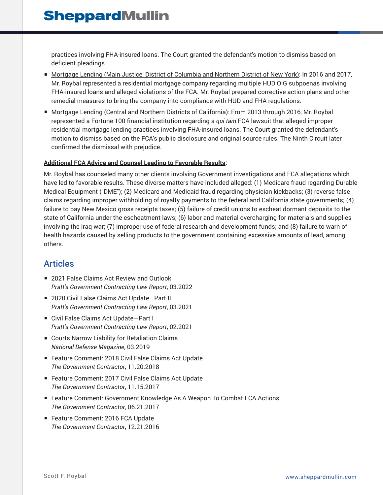practices involving FHA-insured loans. The Court granted the defendant's motion to dismiss based on deficient pleadings.

- Mortgage Lending (Main Justice, District of Columbia and Northern District of New York): In 2016 and 2017, Mr. Roybal represented a residential mortgage company regarding multiple HUD OIG subpoenas involving FHA-insured loans and alleged violations of the FCA. Mr. Roybal prepared corrective action plans and other remedial measures to bring the company into compliance with HUD and FHA regulations.
- Mortgage Lending (Central and Northern Districts of California): From 2013 through 2016, Mr. Roybal represented a Fortune 100 financial institution regarding a *qui tam* FCA lawsuit that alleged improper residential mortgage lending practices involving FHA-insured loans. The Court granted the defendant's motion to dismiss based on the FCA's public disclosure and original source rules. The Ninth Circuit later confirmed the dismissal with prejudice.

#### **Additional FCA Advice and Counsel Leading to Favorable Results:**

Mr. Roybal has counseled many other clients involving Government investigations and FCA allegations which have led to favorable results. These diverse matters have included alleged: (1) Medicare fraud regarding Durable Medical Equipment ("DME"); (2) Medicare and Medicaid fraud regarding physician kickbacks; (3) reverse false claims regarding improper withholding of royalty payments to the federal and California state governments; (4) failure to pay New Mexico gross receipts taxes; (5) failure of credit unions to escheat dormant deposits to the state of California under the escheatment laws; (6) labor and material overcharging for materials and supplies involving the Iraq war; (7) improper use of federal research and development funds; and (8) failure to warn of health hazards caused by selling products to the government containing excessive amounts of lead, among others.

## **Articles**

- 2021 False Claims Act Review and Outlook *Pratt's Government Contracting Law Report*, 03.2022
- 2020 Civil False Claims Act Update-Part II *Pratt's Government Contracting Law Report*, 03.2021
- Civil False Claims Act Update-Part I *Pratt's Government Contracting Law Report*, 02.2021
- Courts Narrow Liability for Retaliation Claims *National Defense Magazine*, 03.2019
- Feature Comment: 2018 Civil False Claims Act Update *The Government Contractor*, 11.20.2018
- Feature Comment: 2017 Civil False Claims Act Update *The Government Contractor*, 11.15.2017
- Feature Comment: Government Knowledge As A Weapon To Combat FCA Actions *The Government Contractor*, 06.21.2017
- Feature Comment: 2016 FCA Update *The Government Contractor*, 12.21.2016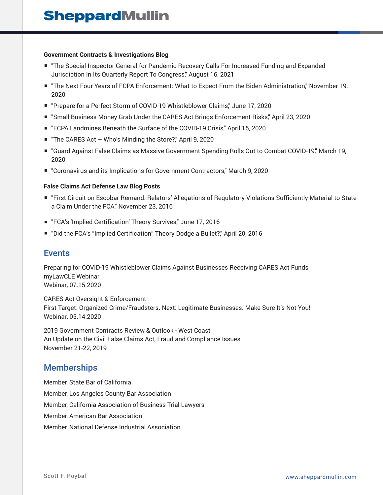#### **Government Contracts & Investigations Blog**

- "The Special Inspector General for Pandemic Recovery Calls For Increased Funding and Expanded Jurisdiction In Its Quarterly Report To Congress," August 16, 2021
- "The Next Four Years of FCPA Enforcement: What to Expect From the Biden Administration," November 19, 2020
- "Prepare for a Perfect Storm of COVID-19 Whistleblower Claims," June 17, 2020
- "Small Business Money Grab Under the CARES Act Brings Enforcement Risks," April 23, 2020
- "FCPA Landmines Beneath the Surface of the COVID-19 Crisis," April 15, 2020
- "The CARES Act Who's Minding the Store?," April 9, 2020
- "Guard Against False Claims as Massive Government Spending Rolls Out to Combat COVID-19," March 19, 2020
- "Coronavirus and its Implications for Government Contractors," March 9, 2020

#### **False Claims Act Defense Law Blog Posts**

- "First Circuit on Escobar Remand: Relators' Allegations of Regulatory Violations Sufficiently Material to State a Claim Under the FCA," November 23, 2016
- "FCA's 'Implied Certification' Theory Survives," June 17, 2016
- "Did the FCA's "Implied Certification" Theory Dodge a Bullet?," April 20, 2016

### Events

Preparing for COVID-19 Whistleblower Claims Against Businesses Receiving CARES Act Funds myLawCLE Webinar Webinar, 07.15.2020

CARES Act Oversight & Enforcement First Target: Organized Crime/Fraudsters. Next: Legitimate Businesses. Make Sure It's Not You! Webinar, 05.14.2020

2019 Government Contracts Review & Outlook - West Coast An Update on the Civil False Claims Act, Fraud and Compliance Issues November 21-22, 2019

## **Memberships**

Member, State Bar of California Member, Los Angeles County Bar Association Member, California Association of Business Trial Lawyers Member, American Bar Association Member, National Defense Industrial Association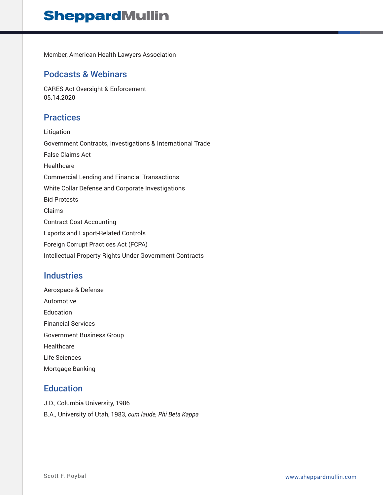## **SheppardMullin**

Member, American Health Lawyers Association

### Podcasts & Webinars

CARES Act Oversight & Enforcement 05.14.2020

## **Practices**

Litigation Government Contracts, Investigations & International Trade False Claims Act **Healthcare** Commercial Lending and Financial Transactions White Collar Defense and Corporate Investigations Bid Protests Claims Contract Cost Accounting Exports and Export-Related Controls Foreign Corrupt Practices Act (FCPA) Intellectual Property Rights Under Government Contracts

## **Industries**

Aerospace & Defense Automotive Education Financial Services Government Business Group **Healthcare** Life Sciences Mortgage Banking

## **Education**

J.D., Columbia University, 1986 B.A., University of Utah, 1983, *cum laude, Phi Beta Kappa*